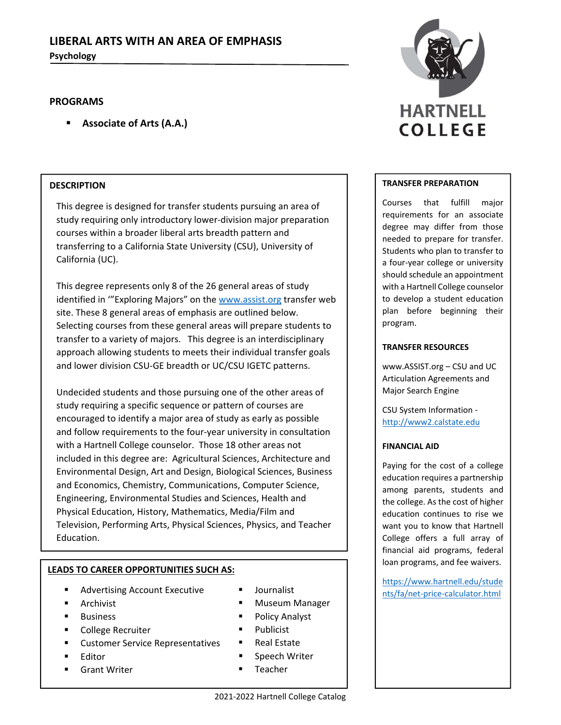# **LIBERAL ARTS WITH AN AREA OF EMPHASIS Psychology**

## **PROGRAMS**

**Associate of Arts (A.A.)**

## **DESCRIPTION**

This degree is designed for transfer students pursuing an area of study requiring only introductory lower‐division major preparation courses within a broader liberal arts breadth pattern and transferring to a California State University (CSU), University of California (UC).

This degree represents only 8 of the 26 general areas of study identified in '"Exploring Majors" on the www.assist.org transfer web site. These 8 general areas of emphasis are outlined below. Selecting courses from these general areas will prepare students to transfer to a variety of majors. This degree is an interdisciplinary approach allowing students to meets their individual transfer goals and lower division CSU‐GE breadth or UC/CSU IGETC patterns.

Undecided students and those pursuing one of the other areas of study requiring a specific sequence or pattern of courses are encouraged to identify a major area of study as early as possible and follow requirements to the four-year university in consultation with a Hartnell College counselor. Those 18 other areas not included in this degree are: Agricultural Sciences, Architecture and Environmental Design, Art and Design, Biological Sciences, Business and Economics, Chemistry, Communications, Computer Science, Engineering, Environmental Studies and Sciences, Health and Physical Education, History, Mathematics, Media/Film and Television, Performing Arts, Physical Sciences, Physics, and Teacher Education.

## **LEADS TO CAREER OPPORTUNITIES SUCH AS:**

- Advertising Account Executive
- **Archivist**
- **Business**
- College Recruiter
- Customer Service Representatives
- Editor
- Grant Writer
- 
- Museum Manager
- Policy Analyst
- **Publicist**
- Real Estate
- **Speech Writer**
- **Teacher**



#### **TRANSFER PREPARATION**

Courses that fulfill major requirements for an associate degree may differ from those needed to prepare for transfer. Students who plan to transfer to a four‐year college or university should schedule an appointment with a Hartnell College counselor to develop a student education plan before beginning their program.

#### **TRANSFER RESOURCES**

www.ASSIST.org – CSU and UC Articulation Agreements and Major Search Engine

CSU System Information ‐ http://www2.calstate.edu

## **FINANCIAL AID**

Paying for the cost of a college education requires a partnership among parents, students and the college. As the cost of higher education continues to rise we want you to know that Hartnell College offers a full array of financial aid programs, federal loan programs, and fee waivers.

https://www.hartnell.edu/stude ■ Journalist<br>■ Museum Manager III hts/fa/net-price-calculator.html